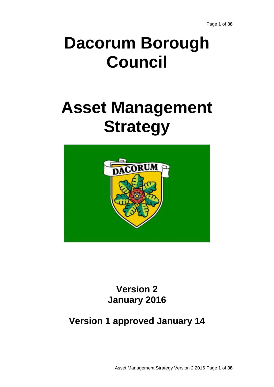# **Dacorum Borough Council**

# **Asset Management Strategy**



**Version 2 January 2016**

# **Version 1 approved January 14**

Asset Management Strategy Version 2 2016 Page **1** of **38**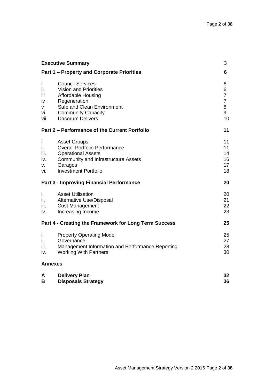|                                                 | <b>Executive Summary</b>                                                                                                                                                                   | 3                                                          |
|-------------------------------------------------|--------------------------------------------------------------------------------------------------------------------------------------------------------------------------------------------|------------------------------------------------------------|
|                                                 | <b>Part 1 – Property and Corporate Priorities</b>                                                                                                                                          | 6                                                          |
| İ.<br>ii.<br>ΪİΙ<br><b>IV</b><br>v<br>vi<br>vii | <b>Council Services</b><br><b>Vision and Priorities</b><br><b>Affordable Housing</b><br>Regeneration<br>Safe and Clean Environment<br><b>Community Capacity</b><br><b>Dacorum Delivers</b> | 6<br>6<br>$\overline{7}$<br>$\overline{7}$<br>8<br>9<br>10 |
|                                                 | Part 2 – Performance of the Current Portfolio                                                                                                                                              | 11                                                         |
| i.<br>ii.<br>iii.<br>iv.<br>v.<br>vi.           | <b>Asset Groups</b><br><b>Overall Portfolio Performance</b><br><b>Operational Assets</b><br><b>Community and Infrastructure Assets</b><br>Garages<br><b>Investment Portfolio</b>           | 11<br>11<br>14<br>16<br>17<br>18                           |
|                                                 | <b>Part 3 - Improving Financial Performance</b>                                                                                                                                            | 20                                                         |
| i.<br>ii.<br>iii.<br>iv.                        | <b>Asset Utilisation</b><br>Alternative Use/Disposal<br><b>Cost Management</b><br>Increasing Income                                                                                        | 20<br>21<br>22<br>23                                       |
|                                                 | Part 4 - Creating the Framework for Long Term Success                                                                                                                                      | 25                                                         |
| ı.<br>ii.<br>iii.<br>iv.                        | <b>Property Operating Model</b><br>Governance<br>Management Information and Performance Reporting<br><b>Working With Partners</b>                                                          | 25<br>27<br>28<br>30                                       |
| <b>Annexes</b>                                  |                                                                                                                                                                                            |                                                            |
| A<br>В                                          | <b>Delivery Plan</b><br><b>Disposals Strategy</b>                                                                                                                                          | 32<br>36                                                   |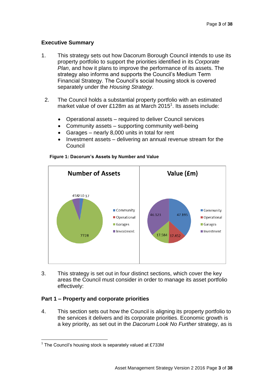# **Executive Summary**

- 1. This strategy sets out how Dacorum Borough Council intends to use its property portfolio to support the priorities identified in its *Corporate Plan*, and how it plans to improve the performance of its assets. The strategy also informs and supports the Council's Medium Term Financial Strategy. The Council's social housing stock is covered separately under the *Housing Strategy*.
	- 2. The Council holds a substantial property portfolio with an estimated market value of over £128m as at March 2015<sup>1</sup>. Its assets include:
		- Operational assets required to deliver Council services
		- Community assets supporting community well-being
		- Garages nearly 8,000 units in total for rent
		- Investment assets delivering an annual revenue stream for the Council



#### **Figure 1: Dacorum's Assets by Number and Value**

3. This strategy is set out in four distinct sections, which cover the key areas the Council must consider in order to manage its asset portfolio effectively:

# **Part 1 – Property and corporate priorities**

 $\overline{a}$ 

4. This section sets out how the Council is aligning its property portfolio to the services it delivers and its corporate priorities. Economic growth is a key priority, as set out in the *Dacorum Look No Further* strategy, as is

 $1$  The Council's housing stock is separately valued at £733M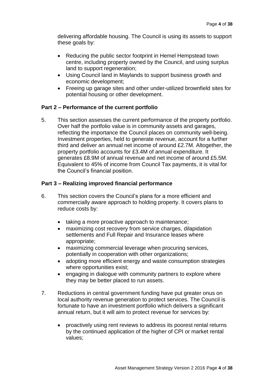delivering affordable housing. The Council is using its assets to support these goals by:

- Reducing the public sector footprint in Hemel Hempstead town centre, including property owned by the Council, and using surplus land to support regeneration:
- Using Council land in Maylands to support business growth and economic development;
- Freeing up garage sites and other under-utilized brownfield sites for potential housing or other development.

# **Part 2 – Performance of the current portfolio**

5. This section assesses the current performance of the property portfolio. Over half the portfolio value is in community assets and garages, reflecting the importance the Council places on community well-being. Investment properties, held to generate revenue, account for a further third and deliver an annual net income of around £2.7M. Altogether, the property portfolio accounts for £3.4M of annual expenditure. It generates £8.9M of annual revenue and net income of around £5.5M. Equivalent to 45% of income from Council Tax payments, it is vital for the Council's financial position.

# **Part 3 – Realizing improved financial performance**

- 6. This section covers the Council's plans for a more efficient and commercially aware approach to holding property. It covers plans to reduce costs by:
	- taking a more proactive approach to maintenance;
	- maximizing cost recovery from service charges, dilapidation settlements and Full Repair and Insurance leases where appropriate;
	- maximizing commercial leverage when procuring services, potentially in cooperation with other organizations;
	- adopting more efficient energy and waste consumption strategies where opportunities exist;
	- engaging in dialogue with community partners to explore where they may be better placed to run assets.
- 7. Reductions in central government funding have put greater onus on local authority revenue generation to protect services. The Council is fortunate to have an investment portfolio which delivers a significant annual return, but it will aim to protect revenue for services by:
	- proactively using rent reviews to address its poorest rental returns by the continued application of the higher of CPI or market rental values;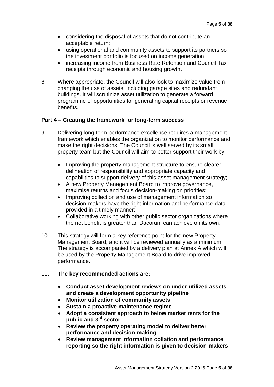- considering the disposal of assets that do not contribute an acceptable return;
- using operational and community assets to support its partners so the investment portfolio is focused on income generation;
- increasing income from Business Rate Retention and Council Tax receipts through economic and housing growth.
- 8. Where appropriate, the Council will also look to maximize value from changing the use of assets, including garage sites and redundant buildings. It will scrutinize asset utilization to generate a forward programme of opportunities for generating capital receipts or revenue benefits.

# **Part 4 – Creating the framework for long-term success**

- 9. Delivering long-term performance excellence requires a management framework which enables the organization to monitor performance and make the right decisions. The Council is well served by its small property team but the Council will aim to better support their work by:
	- Improving the property management structure to ensure clearer delineation of responsibility and appropriate capacity and capabilities to support delivery of this asset management strategy;
	- A new Property Management Board to improve governance, maximise returns and focus decision-making on priorities;
	- Improving collection and use of management information so decision-makers have the right information and performance data provided in a timely manner;
	- Collaborative working with other public sector organizations where the net benefit is greater than Dacorum can achieve on its own.
- 10. This strategy will form a key reference point for the new Property Management Board, and it will be reviewed annually as a minimum. The strategy is accompanied by a delivery plan at Annex A which will be used by the Property Management Board to drive improved performance.
- 11. **The key recommended actions are:**
	- **Conduct asset development reviews on under-utilized assets and create a development opportunity pipeline**
	- **Monitor utilization of community assets**
	- **Sustain a proactive maintenance regime**
	- **Adopt a consistent approach to below market rents for the public and 3rd sector**
	- **Review the property operating model to deliver better performance and decision-making**
	- **Review management information collation and performance reporting so the right information is given to decision-makers**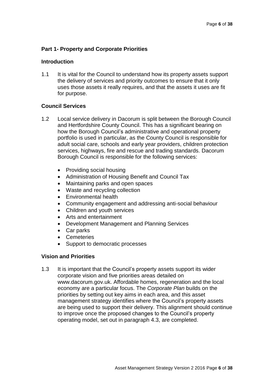# **Part 1- Property and Corporate Priorities**

# **Introduction**

1.1 It is vital for the Council to understand how its property assets support the delivery of services and priority outcomes to ensure that it only uses those assets it really requires, and that the assets it uses are fit for purpose.

# **Council Services**

- 1.2 Local service delivery in Dacorum is split between the Borough Council and Hertfordshire County Council. This has a significant bearing on how the Borough Council's administrative and operational property portfolio is used in particular, as the County Council is responsible for adult social care, schools and early year providers, children protection services, highways, fire and rescue and trading standards. Dacorum Borough Council is responsible for the following services:
	- Providing social housing
	- Administration of Housing Benefit and Council Tax
	- Maintaining parks and open spaces
	- Waste and recycling collection
	- Environmental health
	- Community engagement and addressing anti-social behaviour
	- Children and youth services
	- Arts and entertainment
	- Development Management and Planning Services
	- Car parks
	- Cemeteries
	- Support to democratic processes

# **Vision and Priorities**

1.3 It is important that the Council's property assets support its wider corporate vision and five priorities areas detailed on www.dacorum.gov.uk. Affordable homes, regeneration and the local economy are a particular focus. The *Corporate Plan* builds on the priorities by setting out key aims in each area, and this asset management strategy identifies where the Council's property assets are being used to support their delivery. This alignment should continue to improve once the proposed changes to the Council's property operating model, set out in paragraph 4.3, are completed.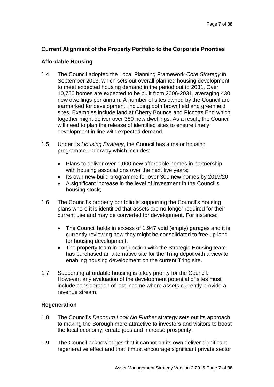# **Current Alignment of the Property Portfolio to the Corporate Priorities**

# **Affordable Housing**

- 1.4 The Council adopted the Local Planning Framework *Core Strategy* in September 2013, which sets out overall planned housing development to meet expected housing demand in the period out to 2031. Over 10,750 homes are expected to be built from 2006-2031, averaging 430 new dwellings per annum. A number of sites owned by the Council are earmarked for development, including both brownfield and greenfield sites. Examples include land at Cherry Bounce and Piccotts End which together might deliver over 380 new dwellings. As a result, the Council will need to plan the release of identified sites to ensure timely development in line with expected demand.
- 1.5 Under its *Housing Strategy*, the Council has a major housing programme underway which includes:
	- Plans to deliver over 1,000 new affordable homes in partnership with housing associations over the next five years;
	- Its own new-build programme for over 300 new homes by 2019/20:
	- A significant increase in the level of investment in the Council's housing stock;
- 1.6 The Council's property portfolio is supporting the Council's housing plans where it is identified that assets are no longer required for their current use and may be converted for development. For instance:
	- The Council holds in excess of 1,947 void (empty) garages and it is currently reviewing how they might be consolidated to free up land for housing development.
	- The property team in conjunction with the Strategic Housing team has purchased an alternative site for the Tring depot with a view to enabling housing development on the current Tring site.
- 1.7 Supporting affordable housing is a key priority for the Council. However, any evaluation of the development potential of sites must include consideration of lost income where assets currently provide a revenue stream.

# **Regeneration**

- 1.8 The Council's *Dacorum Look No Further* strategy sets out its approach to making the Borough more attractive to investors and visitors to boost the local economy, create jobs and increase prosperity.
- 1.9 The Council acknowledges that it cannot on its own deliver significant regenerative effect and that it must encourage significant private sector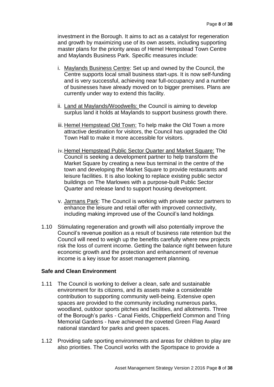investment in the Borough. It aims to act as a catalyst for regeneration and growth by maximizing use of its own assets, including supporting master plans for the priority areas of Hemel Hempstead Town Centre and Maylands Business Park. Specific measures include:

- i. Maylands Business Centre: Set up and owned by the Council, the Centre supports local small business start-ups. It is now self-funding and is very successful, achieving near full-occupancy and a number of businesses have already moved on to bigger premises. Plans are currently under way to extend this facility.
- ii. Land at Maylands/Woodwells: the Council is aiming to develop surplus land it holds at Maylands to support business growth there.
- iii. Hemel Hempstead Old Town: To help make the Old Town a more attractive destination for visitors, the Council has upgraded the Old Town Hall to make it more accessible for visitors.
- iv.Hemel Hempstead Public Sector Quarter and Market Square: The Council is seeking a development partner to help transform the Market Square by creating a new bus terminal in the centre of the town and developing the Market Square to provide restaurants and leisure facilities. It is also looking to replace existing public sector buildings on The Marlowes with a purpose-built Public Sector Quarter and release land to support housing development.
- v. Jarmans Park: The Council is working with private sector partners to enhance the leisure and retail offer with improved connectivity, including making improved use of the Council's land holdings.
- 1.10 Stimulating regeneration and growth will also potentially improve the Council's revenue position as a result of business rate retention but the Council will need to weigh up the benefits carefully where new projects risk the loss of current income. Getting the balance right between future economic growth and the protection and enhancement of revenue income is a key issue for asset management planning.

# **Safe and Clean Environment**

- 1.11 The Council is working to deliver a clean, safe and sustainable environment for its citizens, and its assets make a considerable contribution to supporting community well-being. Extensive open spaces are provided to the community including numerous parks, woodland, outdoor sports pitches and facilities, and allotments. Three of the Borough's parks - Canal Fields, Chipperfield Common and Tring Memorial Gardens - have achieved the coveted Green Flag Award national standard for parks and green spaces.
- 1.12 Providing safe sporting environments and areas for children to play are also priorities. The Council works with the Sportspace to provide a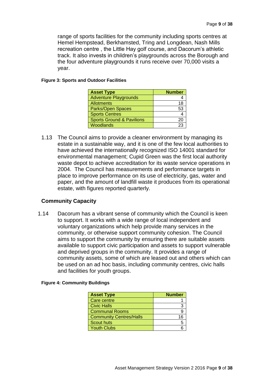range of sports facilities for the community including sports centres at Hemel Hempstead, Berkhamsted, Tring and Longdean, Nash Mills recreation centre , the Little Hay golf course, and Dacorum's athletic track. It also invests in children's playgrounds across the Borough and the four adventure playgrounds it runs receive over 70,000 visits a year.

#### **Figure 3: Sports and Outdoor Facilities**

| <b>Asset Type</b>                    | <b>Number</b> |
|--------------------------------------|---------------|
| <b>Adventure Playgrounds</b>         |               |
| <b>Allotments</b>                    | 18            |
| <b>Parks/Open Spaces</b>             | 53            |
| <b>Sports Centres</b>                |               |
| <b>Sports Ground &amp; Pavilions</b> | 20            |
| <b>Woodlands</b>                     | 23            |

1.13 The Council aims to provide a cleaner environment by managing its estate in a sustainable way, and it is one of the few local authorities to have achieved the internationally recognized ISO 14001 standard for environmental management; Cupid Green was the first local authority waste depot to achieve accreditation for its waste service operations in 2004. The Council has measurements and performance targets in place to improve performance on its use of electricity, gas, water and paper, and the amount of landfill waste it produces from its operational estate, with figures reported quarterly.

# **Community Capacity**

1.14 Dacorum has a vibrant sense of community which the Council is keen to support. It works with a wide range of local independent and voluntary organizations which help provide many services in the community, or otherwise support community cohesion. The Council aims to support the community by ensuring there are suitable assets available to support civic participation and assets to support vulnerable and deprived groups in the community. It provides a range of community assets, some of which are leased out and others which can be used on an ad hoc basis, including community centres, civic halls and facilities for youth groups.

|  | <b>Figure 4: Community Buildings</b> |  |
|--|--------------------------------------|--|
|--|--------------------------------------|--|

| <b>Asset Type</b>              | <b>Number</b> |
|--------------------------------|---------------|
| Care centre                    |               |
| <b>Civic Halls</b>             | З             |
| <b>Communal Rooms</b>          | 9             |
| <b>Community Centres/Halls</b> | 16            |
| Scout huts                     | 5             |
| <b>Youth Clubs</b>             |               |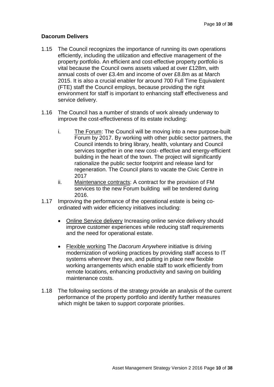# **Dacorum Delivers**

- 1.15 The Council recognizes the importance of running its own operations efficiently, including the utilization and effective management of the property portfolio. An efficient and cost-effective property portfolio is vital because the Council owns assets valued at over £128m, with annual costs of over £3.4m and income of over £8.8m as at March 2015. It is also a crucial enabler for around 700 Full Time Equivalent (FTE) staff the Council employs, because providing the right environment for staff is important to enhancing staff effectiveness and service delivery.
- 1.16 The Council has a number of strands of work already underway to improve the cost-effectiveness of its estate including:
	- i. The Forum: The Council will be moving into a new purpose-built Forum by 2017. By working with other public sector partners, the Council intends to bring library, health, voluntary and Council services together in one new cost- effective and energy-efficient building in the heart of the town. The project will significantly rationalize the public sector footprint and release land for regeneration. The Council plans to vacate the Civic Centre in 2017
	- ii. Maintenance contracts: A contract for the provision of FM services to the new Forum building will be tendered during 2016.
- 1.17 Improving the performance of the operational estate is being coordinated with wider efficiency initiatives including:
	- Online Service delivery Increasing online service delivery should improve customer experiences while reducing staff requirements and the need for operational estate.
	- Flexible working The *Dacorum Anywhere* initiative is driving modernization of working practices by providing staff access to IT systems wherever they are, and putting in place new flexible working arrangements which enable staff to work efficiently from remote locations, enhancing productivity and saving on building maintenance costs.
- 1.18 The following sections of the strategy provide an analysis of the current performance of the property portfolio and identify further measures which might be taken to support corporate priorities.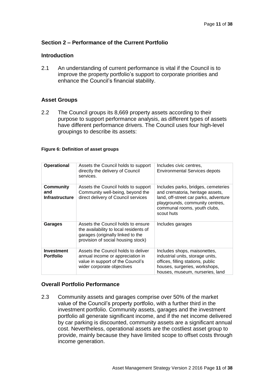# **Section 2 – Performance of the Current Portfolio**

# **Introduction**

2.1 An understanding of current performance is vital if the Council is to improve the property portfolio's support to corporate priorities and enhance the Council's financial stability.

# **Asset Groups**

2.2 The Council groups its 8,669 property assets according to their purpose to support performance analysis, as different types of assets have different performance drivers. The Council uses four high-level groupings to describe its assets:

#### **Figure 6: Definition of asset groups**

| <b>Operational</b>                        | Assets the Council holds to support<br>directly the delivery of Council<br>services.                                                                    | Includes civic centres,<br><b>Environmental Services depots</b>                                                                                                                                   |
|-------------------------------------------|---------------------------------------------------------------------------------------------------------------------------------------------------------|---------------------------------------------------------------------------------------------------------------------------------------------------------------------------------------------------|
| Community<br>and<br><b>Infrastructure</b> | Assets the Council holds to support<br>Community well-being, beyond the<br>direct delivery of Council services                                          | Includes parks, bridges, cemeteries<br>and crematoria, heritage assets,<br>land, off-street car parks, adventure<br>playgrounds, community centres,<br>communal rooms, youth clubs,<br>scout huts |
| Garages                                   | Assets the Council holds to ensure<br>the availability to local residents of<br>garages (originally linked to the<br>provision of social housing stock) | Includes garages                                                                                                                                                                                  |
| <b>Investment</b><br><b>Portfolio</b>     | Assets the Council holds to deliver<br>annual income or appreciation in<br>value in support of the Council's<br>wider corporate objectives              | Includes shops, maisonettes,<br>industrial units, storage units,<br>offices, filling stations, public<br>houses, surgeries, workshops,<br>houses, museum, nurseries, land                         |

# **Overall Portfolio Performance**

2.3 Community assets and garages comprise over 50% of the market value of the Council's property portfolio, with a further third in the investment portfolio. Community assets, garages and the investment portfolio all generate significant income, and if the net income delivered by car parking is discounted, community assets are a significant annual cost. Nevertheless, operational assets are the costliest asset group to provide, mainly because they have limited scope to offset costs through income generation.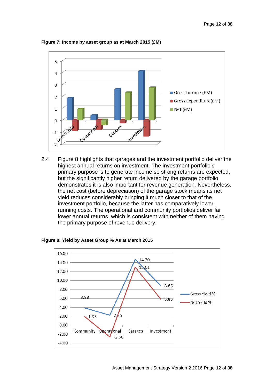

**Figure 7: Income by asset group as at March 2015 (£M)**

2.4 Figure 8 highlights that garages and the investment portfolio deliver the highest annual returns on investment. The investment portfolio's primary purpose is to generate income so strong returns are expected, but the significantly higher return delivered by the garage portfolio demonstrates it is also important for revenue generation. Nevertheless, the net cost (before depreciation) of the garage stock means its net yield reduces considerably bringing it much closer to that of the investment portfolio, because the latter has comparatively lower running costs. The operational and community portfolios deliver far lower annual returns, which is consistent with neither of them having the primary purpose of revenue delivery.



**Figure 8: Yield by Asset Group % As at March 2015**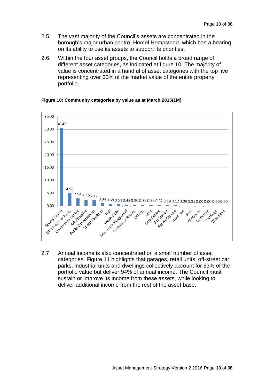- 2.5 The vast majority of the Council's assets are concentrated in the borough's major urban centre, Hemel Hempstead, which has a bearing on its ability to use its assets to support its priorities.
- 2.6. Within the four asset groups, the Council holds a broad range of different asset categories, as indicated at figure 10. The majority of value is concentrated in a handful of asset categories with the top five representing over 60% of the market value of the entire property portfolio.



# **Figure 10: Community categories by value as at March 2015(£M)**

2.7 Annual income is also concentrated on a small number of asset categories. Figure 11 highlights that garages, retail units, off-street car parks, industrial units and dwellings collectively account for 53% of the portfolio value but deliver 94% of annual income. The Council must sustain or improve its income from these assets, while looking to deliver additional income from the rest of the asset base.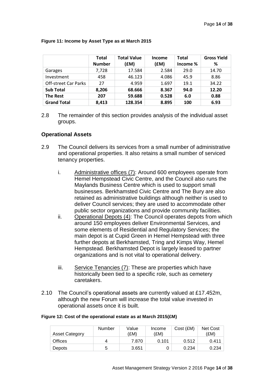|                             | Total<br><b>Number</b> | <b>Total Value</b><br>(£M) | Income<br>(£M) | Total<br>Income % | <b>Gross Yield</b><br>℅ |
|-----------------------------|------------------------|----------------------------|----------------|-------------------|-------------------------|
| Garages                     | 7,728                  | 17.584                     | 2.584          | 29.0              | 14.70                   |
| Investment                  | 458                    | 46.123                     | 4.086          | 45.9              | 8.86                    |
| <b>Off-street Car Parks</b> | 27                     | 4.959                      | 1.697          | 19.1              | 34.22                   |
| <b>Sub Total</b>            | 8,206                  | 68.666                     | 8.367          | 94.0              | 12.20                   |
| <b>The Rest</b>             | 207                    | 59.688                     | 0.528          | 6.0               | 0.88                    |
| <b>Grand Total</b>          | 8.413                  | 128.354                    | 8.895          | 100               | 6.93                    |

#### **Figure 11: Income by Asset Type as at March 2015**

2.8 The remainder of this section provides analysis of the individual asset groups.

# **Operational Assets**

- 2.9 The Council delivers its services from a small number of administrative and operational properties. It also retains a small number of serviced tenancy properties.
	- i. Administrative offices (7): Around 600 employees operate from Hemel Hempstead Civic Centre, and the Council also runs the Maylands Business Centre which is used to support small businesses. Berkhamsted Civic Centre and The Bury are also retained as administrative buildings although neither is used to deliver Council services; they are used to accommodate other public sector organizations and provide community facilities.
	- ii. Operational Depots (4): The Council operates depots from which around 150 employees deliver Environmental Services, and some elements of Residential and Regulatory Services; the main depot is at Cupid Green in Hemel Hempstead with three further depots at Berkhamsted, Tring and Kimps Way, Hemel Hempstead. Berkhamsted Depot is largely leased to partner organizations and is not vital to operational delivery.
	- iii. Service Tenancies (7): These are properties which have historically been tied to a specific role, such as cemetery caretakers.
- 2.10 The Council's operational assets are currently valued at £17.452m, although the new Forum will increase the total value invested in operational assets once it is built.

#### **Figure 12: Cost of the operational estate as at March 2015(£M)**

| <b>Asset Category</b> | Number | Value<br>(£M) | Income<br>EM) | Cost (£M) | <b>Net Cost</b><br>(£M) |
|-----------------------|--------|---------------|---------------|-----------|-------------------------|
| <b>Offices</b>        | 4      | 7.870         | 0.101         | 0.512     | 0.411                   |
| Depots                | 5      | 3.651         |               | 0.234     | 0.234                   |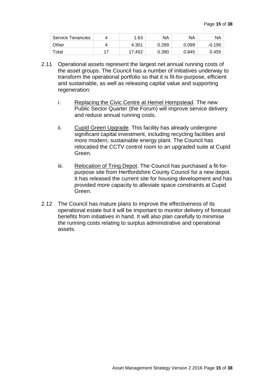| <b>Service Tenancies</b> |    | 1.63   | ΝA    | ΝA    | NA 1     |
|--------------------------|----|--------|-------|-------|----------|
| Other                    |    | 4.301  | 0.289 | 0.099 | $-0.190$ |
| Total                    | 17 | 17.452 | 0.390 | 0.845 | 0.455    |

- 2.11 Operational assets represent the largest net annual running costs of the asset groups. The Council has a number of initiatives underway to transform the operational portfolio so that it is fit-for-purpose, efficient and sustainable, as well as releasing capital value and supporting regeneration:
	- i. Replacing the Civic Centre at Hemel Hempstead. The new Public Sector Quarter (the Forum) will improve service delivery and reduce annual running costs.
	- ii. Cupid Green Upgrade. This facility has already undergone significant capital investment, including recycling facilities and more modern, sustainable energy plant. The Council has relocatied the CCTV control room to an upgraded suite at Cupid Green.
	- iii. Relocation of Tring Depot. The Council has purchased a fit-forpurpose site from Hertfordshire County Council for a new depot. It has released the current site for housing development and has provided more capacity to alleviate space constraints at Cupid Green.
- 2.12 The Council has mature plans to improve the effectiveness of its operational estate but it will be important to monitor delivery of forecast benefits from initiatives in hand. It will also plan carefully to minimise the running costs relating to surplus administrative and operational assets.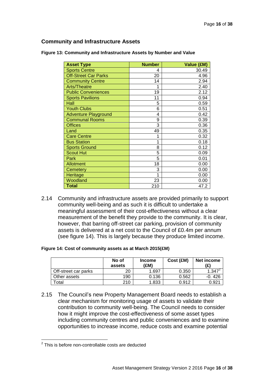# **Community and Infrastructure Assets**

| <b>Asset Type</b>           | <b>Number</b> | Value (£M) |
|-----------------------------|---------------|------------|
| <b>Sports Centre</b>        | 4             | 30.49      |
| <b>Off-Street Car Parks</b> | 20            | 4.96       |
| <b>Community Centre</b>     | 14            | 2.94       |
| Arts/Theatre                | 1             | 2.40       |
| <b>Public Conveniences</b>  | 19            | 2.12       |
| <b>Sports Pavilions</b>     | 11            | 0.94       |
| Hall                        | 5             | 0.59       |
| <b>Youth Clubs</b>          | 6             | 0.51       |
| <b>Adventure Playground</b> | 4             | 0.42       |
| <b>Communal Rooms</b>       | 9             | 0.39       |
| <b>Offices</b>              | 3             | 0.36       |
| Land                        | 49            | 0.35       |
| <b>Care Centre</b>          | 1             | 0.32       |
| <b>Bus Station</b>          | 1             | 0.18       |
| <b>Sports Ground</b>        | 8             | 0.12       |
| <b>Scout Hut</b>            | 5             | 0.09       |
| Park                        | 5             | 0.01       |
| <b>Allotment</b>            | 18            | 0.00       |
| Cemetery                    | 3             | 0.00       |
| <b>Heritage</b>             | 1             | 0.00       |
| Woodland                    | 23            | 0.00       |
| <b>Total</b>                | 210           | 47.2       |

**Figure 13: Community and Infrastructure Assets by Number and Value**

2.14 Community and infrastructure assets are provided primarily to support community well-being and as such it is difficult to undertake a meaningful assessment of their cost-effectiveness without a clear measurement of the benefit they provide to the community. It is clear, however, that barring off-street car parking, provision of community assets is delivered at a net cost to the Council of £0.4m per annum (see figure 14). This is largely because they produce limited income.

#### **Figure 14: Cost of community assets as at March 2015(£M)**

|                      | No of<br>assets | <b>Income</b><br>(£M) | Cost (£M) | Net income<br>(£) |
|----------------------|-----------------|-----------------------|-----------|-------------------|
| Off-street car parks | 20              | . 697                 | 0.350     | $1.347^{2}$       |
| Other assets         | 190             | 0.136                 | 0.562     | -0.426            |
| otal <sup>-</sup>    | 210             | 1.833                 | 0.912     | 0.92 <sup>.</sup> |

2.15 The Council's new Property Management Board needs to establish a clear mechanism for monitoring usage of assets to validate their contribution to community well-being. The Council needs to consider how it might improve the cost-effectiveness of some asset types including community centres and public conveniences and to examine opportunities to increase income, reduce costs and examine potential

 $\overline{a}$ 

 $2$  This is before non-controllable costs are deducted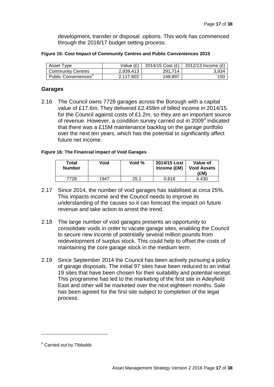development, transfer or disposal .options. This work has commenced through the 2016/17 budget setting process.

|  | Figure 15: Cost Impact of Community Centres and Public Conveniences 2015 |
|--|--------------------------------------------------------------------------|
|--|--------------------------------------------------------------------------|

| Asset Type                       | Value $(E)$ | 2014/15 Cost $(E)$ | 2012/13 Income (£) |
|----------------------------------|-------------|--------------------|--------------------|
| <b>Community Centres</b>         | 2,939,413   | 291.714            | 3.934              |
| Public Conveniences <sup>®</sup> | 2.117.602   | 148.897            | 150                |

# **Garages**

2.16 The Council owns 7728 garages across the Borough with a capital value of £17.6m. They delivered £2.459m of billed income in 2014/15 for the Council against costs of £1.2m, so they are an important source of revenue. However, a condition survey carried out in 2009<sup>4</sup> indicated that there was a £15M maintenance backlog on the garage portfolio over the next ten years, which has the potential to significantly affect future net income.

#### **Figure 16: The Financial Impact of Void Garages**

| Total<br><b>Number</b> | Void | Void % | 2014/15 Lost<br>Income (£M) | Value of<br><b>Void Assets</b><br>(£M) |
|------------------------|------|--------|-----------------------------|----------------------------------------|
| 7728                   | 1947 | 25.1   | 0.818                       | 4.430                                  |

- 2.17 Since 2014, the number of void garages has stabilised at circa 25%. This impacts income and the Council needs to improve its understanding of the causes so it can forecast the impact on future revenue and take action to arrest the trend.
- 2.18 The large number of void garages presents an opportunity to consolidate voids in order to vacate garage sites, enabling the Council to secure new income of potentially several million pounds from redevelopment of surplus stock. This could help to offset the costs of maintaining the core garage stock in the medium term.
- 2.19 Since September 2014 the Council has been actively pursuing a policy of garage disposals. The initial 97 sites have been reduced to an initial 19 sites that have been chosen for their suitability and potential receipt. This programme has led to the marketing of the first site in Adeyfield East and other will be marketed over the next eighteen months. Sale has been agreed for the first site subject to completion of the legal process.

 $\overline{a}$ 

<sup>4</sup> Carried out by Tibbalds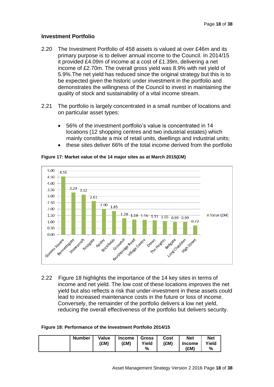# **Investment Portfolio**

- 2.20 The Investment Portfolio of 458 assets is valued at over £46m and its primary purpose is to deliver annual income to the Council. In 2014/15 it provided £4.09m of income at a cost of £1.39m, delivering a net income of £2.70m. The overall gross yield was 8.9% with net yield of 5.9%.The net yield has reduced since the original strategy but this is to be expected given the historic under investment in the portfolio and demonstrates the willingness of the Council to invest in maintaining the quality of stock and sustainability of a vital income stream.
- 2.21 The portfolio is largely concentrated in a small number of locations and on particular asset types:
	- 56% of the investment portfolio's value is concentrated in 14 locations (12 shopping centres and two industrial estates) which mainly constitute a mix of retail units, dwellings and industrial units; these sites deliver 66% of the total income derived from the portfolio



**Figure 17: Market value of the 14 major sites as at March 2015(£M)**

2.22 Figure 18 highlights the importance of the 14 key sites in terms of income and net yield. The low cost of these locations improves the net yield but also reflects a risk that under-investment in these assets could lead to increased maintenance costs in the future or loss of income. Conversely, the remainder of the portfolio delivers a low net yield, reducing the overall effectiveness of the portfolio but delivers security.

| Figure 18: Performance of the Investment Portfolio 2014/15 |  |
|------------------------------------------------------------|--|
|------------------------------------------------------------|--|

| <b>Number</b> | Value<br>(£M) | <b>Income</b><br>(£M) | <b>Gross</b><br>Yield<br>% | Cost<br>(£M) | <b>Net</b><br><b>Income</b><br>(£M) | <b>Net</b><br>Yield<br>% |
|---------------|---------------|-----------------------|----------------------------|--------------|-------------------------------------|--------------------------|
|---------------|---------------|-----------------------|----------------------------|--------------|-------------------------------------|--------------------------|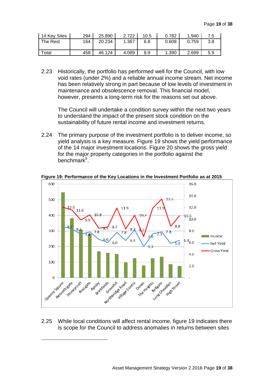| 14 Key Sites | 294 | 25.890 | 2.722 | 10.5 | 0.782 | 1.940 | 7.5 |
|--------------|-----|--------|-------|------|-------|-------|-----|
| The Rest     | 164 | 20.234 | 1.367 | 6.8  | 0.608 | 0.759 | 3.8 |
|              |     |        |       |      |       |       |     |
| Total        | 458 | 46.124 | 4.089 | 8.9  | 1.390 | 2.699 | 5.9 |

2.23 Historically, the portfolio has performed well for the Council, with low void rates (under 2%) and a reliable annual income stream. Net income has been relatively strong in part because of low levels of investment in maintenance and obsolescence removal. This financial model, however, presents a long-term risk for the reasons set out above.

The Council will undertake a condition survey within the next two years to understand the impact of the present stock condition on the sustainability of future rental income and investment returns.

2.24 The primary purpose of the investment portfolio is to deliver income, so yield analysis is a key measure. Figure 19 shows the yield performance of the 14 major investment locations. Figure 20 shows the gross yield for the major property categories in the portfolio against the benchmark<sup>5</sup>.



**Figure 19: Performance of the Key Locations in the Investment Portfolio as at 2015**

2.25 While local conditions will affect rental income, figure 19 indicates there is scope for the Council to address anomalies in returns between sites

 $\overline{a}$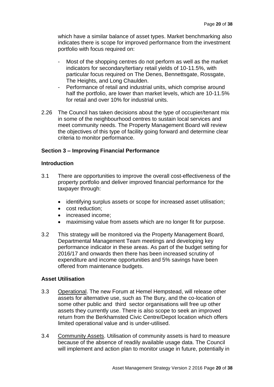which have a similar balance of asset types. Market benchmarking also indicates there is scope for improved performance from the investment portfolio with focus required on:

- Most of the shopping centres do not perform as well as the market indicators for secondary/tertiary retail yields of 10-11.5%, with particular focus required on The Denes, Bennettsgate, Rossgate, The Heights, and Long Chaulden.
- Performance of retail and industrial units, which comprise around half the portfolio, are lower than market levels, which are 10-11.5% for retail and over 10% for industrial units.
- 2.26 The Council has taken decisions about the type of occupier/tenant mix in some of the neighbourhood centres to sustain local services and meet community needs. The Property Management Board will review the objectives of this type of facility going forward and determine clear criteria to monitor performance.

# **Section 3 – Improving Financial Performance**

# **Introduction**

- 3.1 There are opportunities to improve the overall cost-effectiveness of the property portfolio and deliver improved financial performance for the taxpayer through:
	- identifying surplus assets or scope for increased asset utilisation;
	- cost reduction:
	- increased income:
	- maximising value from assets which are no longer fit for purpose.
- 3.2 This strategy will be monitored via the Property Management Board, Departmental Management Team meetings and developing key performance indicator in these areas. As part of the budget setting for 2016/17 and onwards then there has been increased scrutiny of expenditure and income opportunities and 5% savings have been offered from maintenance budgets.

# **Asset Utilisation**

- 3.3 Operational. The new Forum at Hemel Hempstead, will release other assets for alternative use, such as The Bury, and the co-location of some other public and third sector organisations will free up other assets they currently use. There is also scope to seek an improved return from the Berkhamsted Civic Centre/Depot location which offers limited operational value and is under-utilised.
- 3.4 Community Assets. Utilisation of community assets is hard to measure because of the absence of readily available usage data. The Council will implement and action plan to monitor usage in future, potentially in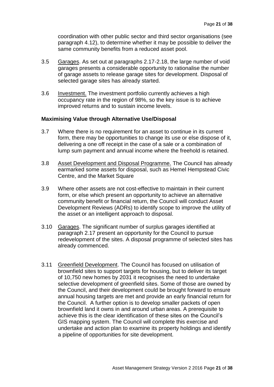coordination with other public sector and third sector organisations (see paragraph 4.12), to determine whether it may be possible to deliver the same community benefits from a reduced asset pool.

- 3.5 Garages. As set out at paragraphs 2.17-2.18, the large number of void garages presents a considerable opportunity to rationalise the number of garage assets to release garage sites for development. Disposal of selected garage sites has already started.
- 3.6 Investment. The investment portfolio currently achieves a high occupancy rate in the region of 98%, so the key issue is to achieve improved returns and to sustain income levels.

#### **Maximising Value through Alternative Use/Disposal**

- 3.7 Where there is no requirement for an asset to continue in its current form, there may be opportunities to change its use or else dispose of it, delivering a one off receipt in the case of a sale or a combination of lump sum payment and annual income where the freehold is retained.
- 3.8 Asset Development and Disposal Programme. The Council has already earmarked some assets for disposal, such as Hemel Hempstead Civic Centre, and the Market Square
- 3.9 Where other assets are not cost-effective to maintain in their current form, or else which present an opportunity to achieve an alternative community benefit or financial return, the Council will conduct Asset Development Reviews (ADRs) to identify scope to improve the utility of the asset or an intelligent approach to disposal.
- 3.10 Garages. The significant number of surplus garages identified at paragraph 2.17 present an opportunity for the Council to pursue redevelopment of the sites. A disposal programme of selected sites has already commenced.
- 3.11 Greenfield Development. The Council has focused on utilisation of brownfield sites to support targets for housing, but to deliver its target of 10,750 new homes by 2031 it recognises the need to undertake selective development of greenfield sites. Some of those are owned by the Council, and their development could be brought forward to ensure annual housing targets are met and provide an early financial return for the Council. A further option is to develop smaller packets of open brownfield land it owns in and around urban areas. A prerequisite to achieve this is the clear identification of these sites on the Council's GIS mapping system. The Council will complete this exercise and undertake and action plan to examine its property holdings and identify a pipeline of opportunities for site development.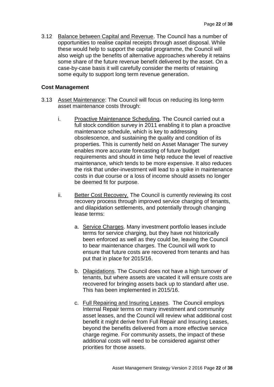3.12 Balance between Capital and Revenue. The Council has a number of opportunities to realise capital receipts through asset disposal. While these would help to support the capital programme, the Council will also weigh up the benefits of alternative approaches whereby it retains some share of the future revenue benefit delivered by the asset. On a case-by-case basis it will carefully consider the merits of retaining some equity to support long term revenue generation.

# **Cost Management**

- 3.13 Asset Maintenance: The Council will focus on reducing its long-term asset maintenance costs through:
	- i. Proactive Maintenance Scheduling. The Council carried out a full stock condition survey in 2011 enabling it to plan a proactive maintenance schedule, which is key to addressing obsolescence, and sustaining the quality and condition of its properties. This is currently held on Asset Manager The survey enables more accurate forecasting of future budget requirements and should in time help reduce the level of reactive maintenance, which tends to be more expensive. It also reduces the risk that under-investment will lead to a spike in maintenance costs in due course or a loss of income should assets no longer be deemed fit for purpose.
	- ii. Better Cost Recovery. The Council is currently reviewing its cost recovery process through improved service charging of tenants, and dilapidation settlements, and potentially through changing lease terms:
		- a. Service Charges. Many investment portfolio leases include terms for service charging, but they have not historically been enforced as well as they could be, leaving the Council to bear maintenance charges. The Council will work to ensure that future costs are recovered from tenants and has put that in place for 2015/16.
		- b. Dilapidations. The Council does not have a high turnover of tenants, but where assets are vacated it will ensure costs are recovered for bringing assets back up to standard after use. This has been implemented in 2015/16.
		- c. Full Repairing and Insuring Leases. The Council employs Internal Repair terms on many investment and community asset leases, and the Council will review what additional cost benefit it might derive from Full Repair and Insuring Leases, beyond the benefits delivered from a more effective service charge regime. For community assets, the impact of these additional costs will need to be considered against other priorities for those assets.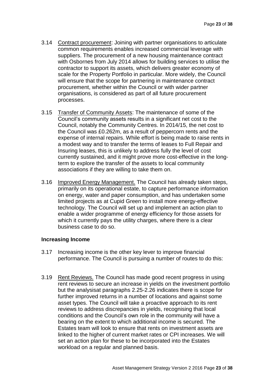- 3.14 Contract procurement: Joining with partner organisations to articulate common requirements enables increased commercial leverage with suppliers. The procurement of a new housing maintenance contract with Osbornes from July 2014 allows for building services to utilise the contractor to support its assets, which delivers greater economy of scale for the Property Portfolio in particular. More widely, the Council will ensure that the scope for partnering in maintenance contract procurement, whether within the Council or with wider partner organisations, is considered as part of all future procurement processes.
- 3.15 Transfer of Community Assets: The maintenance of some of the Council's community assets results in a significant net cost to the Council, notably the Community Centres. In 2014/15, the net cost to the Council was £0.262m, as a result of peppercorn rents and the expense of internal repairs. While effort is being made to raise rents in a modest way and to transfer the terms of leases to Full Repair and Insuring leases, this is unlikely to address fully the level of cost currently sustained, and it might prove more cost-effective in the longterm to explore the transfer of the assets to local community associations if they are willing to take them on.
- 3.16 Improved Energy Management. The Council has already taken steps, primarily on its operational estate, to capture performance information on energy, water and paper consumption, and has undertaken some limited projects as at Cupid Green to install more energy-effective technology. The Council will set up and implement an action plan to enable a wider programme of energy efficiency for those assets for which it currently pays the utility charges, where there is a clear business case to do so.

# **Increasing Income**

- 3.17 Increasing income is the other key lever to improve financial performance. The Council is pursuing a number of routes to do this:
- 3.19 Rent Reviews. The Council has made good recent progress in using rent reviews to secure an increase in yields on the investment portfolio but the analysisat paragraphs 2.25-2.26 indicates there is scope for further improved returns in a number of locations and against some asset types. The Council will take a proactive approach to its rent reviews to address discrepancies in yields, recognising that local conditions and the Council's own role in the community will have a bearing on the extent to which additional income is secured. The Estates team will look to ensure that rents on investment assets are linked to the higher of current market rates or CPI increases. We will set an action plan for these to be incorporated into the Estates workload on a regular and planned basis.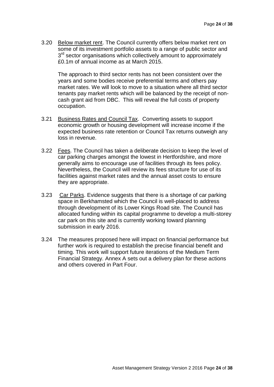3.20 Below market rent. The Council currently offers below market rent on some of its investment portfolio assets to a range of public sector and 3<sup>rd</sup> sector organisations which collectively amount to approximately £0.1m of annual income as at March 2015.

The approach to third sector rents has not been consistent over the years and some bodies receive preferential terms and others pay market rates. We will look to move to a situation where all third sector tenants pay market rents which will be balanced by the receipt of noncash grant aid from DBC. This will reveal the full costs of property occupation.

- 3.21 Business Rates and Council Tax. Converting assets to support economic growth or housing development will increase income if the expected business rate retention or Council Tax returns outweigh any loss in revenue.
- 3.22 Fees. The Council has taken a deliberate decision to keep the level of car parking charges amongst the lowest in Hertfordshire, and more generally aims to encourage use of facilities through its fees policy. Nevertheless, the Council will review its fees structure for use of its facilities against market rates and the annual asset costs to ensure they are appropriate.
- 3.23 Car Parks. Evidence suggests that there is a shortage of car parking space in Berkhamsted which the Council is well-placed to address through development of its Lower Kings Road site. The Council has allocated funding within its capital programme to develop a multi-storey car park on this site and is currently working toward planning submission in early 2016.
- 3.24 The measures proposed here will impact on financial performance but further work is required to establish the precise financial benefit and timing. This work will support future iterations of the Medium Term Financial Strategy. Annex A sets out a delivery plan for these actions and others covered in Part Four.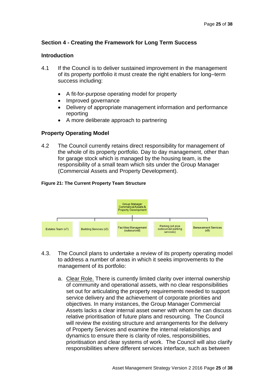# **Section 4 - Creating the Framework for Long Term Success**

# **Introduction**

- 4.1 If the Council is to deliver sustained improvement in the management of its property portfolio it must create the right enablers for long–term success including:
	- A fit-for-purpose operating model for property
	- Improved governance
	- Delivery of appropriate management information and performance reporting
	- A more deliberate approach to partnering

# **Property Operating Model**

4.2 The Council currently retains direct responsibility for management of the whole of its property portfolio. Day to day management, other than for garage stock which is managed by the housing team, is the responsibility of a small team which sits under the Group Manager (Commercial Assets and Property Development).

#### **Figure 21: The Current Property Team Structure**



- 4.3. The Council plans to undertake a review of its property operating model to address a number of areas in which it seeks improvements to the management of its portfolio:
	- a. Clear Role. There is currently limited clarity over internal ownership of community and operational assets, with no clear responsibilities set out for articulating the property requirements needed to support service delivery and the achievement of corporate priorities and objectives. In many instances, the Group Manager Commercial Assets lacks a clear internal asset owner with whom he can discuss relative prioritisation of future plans and resourcing. The Council will review the existing structure and arrangements for the delivery of Property Services and examine the internal relationships and dynamics to ensure there is clarity of roles, responsibilities, prioritisation and clear systems of work. The Council will also clarify responsibilities where different services interface, such as between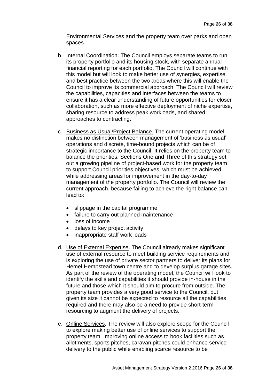Environmental Services and the property team over parks and open spaces.

- b. Internal Coordination. The Council employs separate teams to run its property portfolio and its housing stock, with separate annual financial reporting for each portfolio. The Council will continue with this model but will look to make better use of synergies, expertise and best practice between the two areas where this will enable the Council to improve its commercial approach. The Council will review the capabilities, capacities and interfaces between the teams to ensure it has a clear understanding of future opportunities for closer collaboration, such as more effective deployment of niche expertise, sharing resource to address peak workloads, and shared approaches to contracting.
- c. Business as Usual/Project Balance. The current operating model makes no distinction between management of 'business as usual' operations and discrete, time-bound projects which can be of strategic importance to the Council. It relies on the property team to balance the priorities. Sections One and Three of this strategy set out a growing pipeline of project-based work for the property team to support Council priorities objectives, which must be achieved while addressing areas for improvement in the day-to-day management of the property portfolio. The Council will review the current approach, because failing to achieve the right balance can lead to:
	- slippage in the capital programme
	- failure to carry out planned maintenance
	- loss of income
	- delays to key project activity
	- inappropriate staff work loads
- d. Use of External Expertise. The Council already makes significant use of external resource to meet building service requirements and is exploring the use of private sector partners to deliver its plans for Hemel Hempstead town centre and to develop surplus garage sites. As part of the review of the operating model, the Council will look to identify the skills and capabilities it should provide in-house in the future and those which it should aim to procure from outside. The property team provides a very good service to the Council, but given its size it cannot be expected to resource all the capabilities required and there may also be a need to provide short-term resourcing to augment the delivery of projects.
- e. Online Services. The review will also explore scope for the Council to explore making better use of online services to support the property team. Improving online access to book facilities such as allotments, sports pitches, caravan pitches could enhance service delivery to the public while enabling scarce resource to be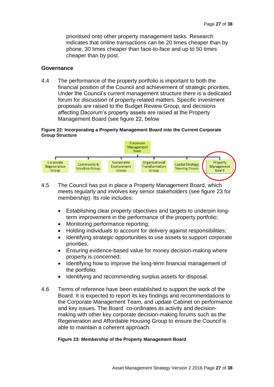prioritised onto other property management tasks. Research indicates that online transactions can be 20 times cheaper than by phone, 30 times cheaper than face-to-face and up to 50 times cheaper than by post.

# **Governance**

4.4 The performance of the property portfolio is important to both the financial position of the Council and achievement of strategic priorities. Under the Council's current management structure there is a dedicated forum for discussion of property-related matters. Specific investment proposals are raised to the Budget Review Group, and decisions affecting Dacorum's property assets are raised at the Property Management Board (see figure 22, below

#### **Figure 22: Incorporating a Property Management Board into the Current Corporate Group Structure**



- 4.5 The Council has put in place a Property Management Board, which meets regularly and involves key senior stakeholders (see figure 23 for membership). Its role includes:
	- Establishing clear property objectives and targets to underpin longterm improvement in the performance of the property portfolio;
	- Monitoring performance reporting;
	- Holding individuals to account for delivery against responsibilities;
	- Identifying strategic opportunities to use assets to support corporate priorities;
	- Ensuring evidence-based value for money decision-making where property is concerned;
	- Identifying how to improve the long-term financial management of the portfolio;
	- Identifying and recommending surplus assets for disposal.
- 4.6 Terms of reference have been established to support the work of the Board. It is expected to report its key findings and recommendations to the Corporate Management Team, and update Cabinet on performance and key issues. The Board co-ordinates its activity and decisionmaking with other key corporate decision-making forums such as the Regeneration and Affordable Housing Group to ensure the Council is able to maintain a coherent approach.

#### **Figure 23: Membership of the Property Management Board**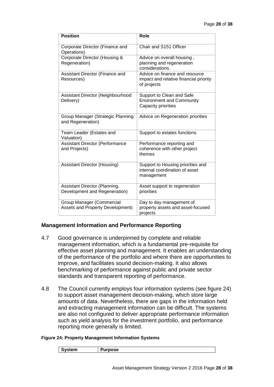| <b>Position</b>                                                | <b>Role</b>                                                                             |
|----------------------------------------------------------------|-----------------------------------------------------------------------------------------|
| Corporate Director (Finance and<br>Operations)                 | Chair and S151 Officer                                                                  |
| Corporate Director (Housing &<br>Regeneration)                 | Advice on overall housing,<br>planning and regeneration<br>considerations.              |
| Assistant Director (Finance and<br>Resources)                  | Advice on finance and resource<br>impact and relative financial priority<br>of projects |
| Assistant Director (Neighbourhood<br>Delivery)                 | Support to Clean and Safe<br><b>Environment and Community</b><br>Capacity priorities    |
| Group Manager (Strategic Planning<br>and Regeneration)         | Advice on Regeneration priorities                                                       |
| Team Leader (Estates and<br>Valuation)                         | Support to estates functions                                                            |
| <b>Assistant Director (Performance</b><br>and Projects)        | Performance reporting and<br>coherence with other project<br>themes                     |
| <b>Assistant Director (Housing)</b>                            | Support to Housing priorities and<br>internal coordination of asset<br>management       |
| Assistant Director (Planning,<br>Development and Regeneration) | Asset support to regeneration<br>priorities                                             |
| Group Manager (Commercial<br>Assets and Property Development)  | Day to day management of<br>property assets and asset-focused<br>projects               |

# **Management Information and Performance Reporting**

- 4.7 Good governance is underpinned by complete and reliable management information, which is a fundamental pre-requisite for effective asset planning and management. It enables an understanding of the performance of the portfolio and where there are opportunities to improve, and facilitates sound decision-making. It also allows benchmarking of performance against public and private sector standards and transparent reporting of performance.
- 4.8 The Council currently employs four information systems (see figure 24) to support asset management decision-making, which store large amounts of data. Nevertheless, there are gaps in the information held and extracting management information can be difficult. The systems are also not configured to deliver appropriate performance information such as yield analysis for the investment portfolio, and performance reporting more generally is limited.

#### **Figure 24: Property Management Information Systems**

| /stem<br><b>Tropic</b><br> |
|----------------------------|
|----------------------------|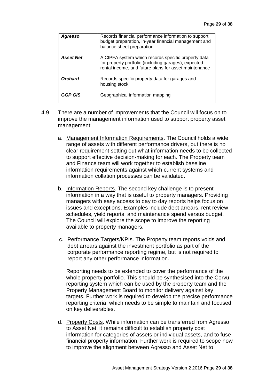| <b>Agresso</b>   | Records financial performance information to support<br>budget preparation, in-year financial management and<br>balance sheet preparation.                           |
|------------------|----------------------------------------------------------------------------------------------------------------------------------------------------------------------|
| <b>Asset Net</b> | A CIPFA system which records specific property data<br>for property portfolio (including garages), expected<br>rental income, and future plans for asset maintenance |
| <b>Orchard</b>   | Records specific property data for garages and<br>housing stock                                                                                                      |
| <b>GGP GIS</b>   | Geographical information mapping                                                                                                                                     |

- 4.9 There are a number of improvements that the Council will focus on to improve the management information used to support property asset management:
	- a. Management Information Requirements. The Council holds a wide range of assets with different performance drivers, but there is no clear requirement setting out what information needs to be collected to support effective decision-making for each. The Property team and Finance team will work together to establish baseline information requirements against which current systems and information collation processes can be validated.
	- b. Information Reports. The second key challenge is to present information in a way that is useful to property managers. Providing managers with easy access to day to day reports helps focus on issues and exceptions. Examples include debt arrears, rent review schedules, yield reports, and maintenance spend versus budget. The Council will explore the scope to improve the reporting available to property managers.
	- c. Performance Targets/KPIs. The Property team reports voids and debt arrears against the investment portfolio as part of the corporate performance reporting regime, but is not required to report any other performance information.

Reporting needs to be extended to cover the performance of the whole property portfolio. This should be synthesised into the Corvu reporting system which can be used by the property team and the Property Management Board to monitor delivery against key targets. Further work is required to develop the precise performance reporting criteria, which needs to be simple to maintain and focused on key deliverables.

d. Property Costs. While information can be transferred from Agresso to Asset Net, it remains difficult to establish property cost information for categories of assets or individual assets, and to fuse financial property information. Further work is required to scope how to improve the alignment between Agresso and Asset Net to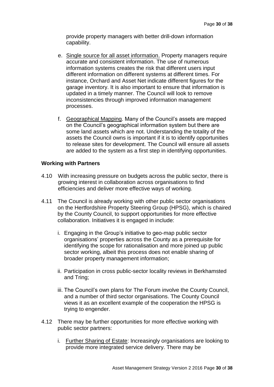provide property managers with better drill-down information capability.

- e. Single source for all asset information. Property managers require accurate and consistent information. The use of numerous information systems creates the risk that different users input different information on different systems at different times. For instance, Orchard and Asset Net indicate different figures for the garage inventory. It is also important to ensure that information is updated in a timely manner. The Council will look to remove inconsistencies through improved information management processes.
- f. Geographical Mapping. Many of the Council's assets are mapped on the Council's geographical information system but there are some land assets which are not. Understanding the totality of the assets the Council owns is important if it is to identify opportunities to release sites for development. The Council will ensure all assets are added to the system as a first step in identifying opportunities.

# **Working with Partners**

- 4.10 With increasing pressure on budgets across the public sector, there is growing interest in collaboration across organisations to find efficiencies and deliver more effective ways of working.
- 4.11 The Council is already working with other public sector organisations on the Hertfordshire Property Steering Group (HPSG), which is chaired by the County Council, to support opportunities for more effective collaboration. Initiatives it is engaged in include:
	- i. Engaging in the Group's initiative to geo-map public sector organisations' properties across the County as a prerequisite for identifying the scope for rationalisation and more joined up public sector working, albeit this process does not enable sharing of broader property management information;
	- ii. Participation in cross public-sector locality reviews in Berkhamsted and Tring;
	- iii. The Council's own plans for The Forum involve the County Council, and a number of third sector organisations. The County Council views it as an excellent example of the cooperation the HPSG is trying to engender.
- 4.12 There may be further opportunities for more effective working with public sector partners:
	- i. Further Sharing of Estate: Increasingly organisations are looking to provide more integrated service delivery. There may be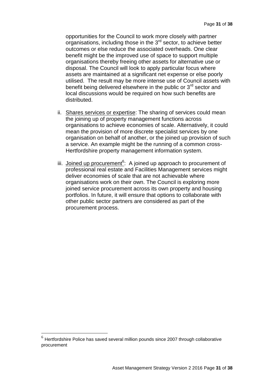opportunities for the Council to work more closely with partner organisations, including those in the  $3<sup>rd</sup>$  sector, to achieve better outcomes or else reduce the associated overheads. One clear benefit might be the improved use of space to support multiple organisations thereby freeing other assets for alternative use or disposal. The Council will look to apply particular focus where assets are maintained at a significant net expense or else poorly utilised. The result may be more intense use of Council assets with benefit being delivered elsewhere in the public or  $3<sup>rd</sup>$  sector and local discussions would be required on how such benefits are distributed.

- ii. Shares services or expertise: The sharing of services could mean the joining up of property management functions across organisations to achieve economies of scale. Alternatively, it could mean the provision of more discrete specialist services by one organisation on behalf of another, or the joined up provision of such a service. An example might be the running of a common cross-Hertfordshire property management information system.
- iii. Joined up procurement<sup>6</sup>: A joined up approach to procurement of professional real estate and Facilities Management services might deliver economies of scale that are not achievable where organisations work on their own. The Council is exploring more joined service procurement across its own property and housing portfolios. In future, it will ensure that options to collaborate with other public sector partners are considered as part of the procurement process.

 $\overline{a}$ 

 $<sup>6</sup>$  Hertfordshire Police has saved several million pounds since 2007 through collaborative</sup> procurement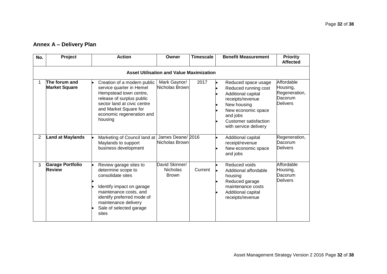# **Annex A – Delivery Plan**

| No.            | Project                                         | <b>Action</b>                                                                                                                                                                                                      | Owner                                             | <b>Timescale</b> | <b>Benefit Measurement</b>                                                                                                                                                               | <b>Priority</b><br><b>Affected</b>                                    |  |  |  |  |  |
|----------------|-------------------------------------------------|--------------------------------------------------------------------------------------------------------------------------------------------------------------------------------------------------------------------|---------------------------------------------------|------------------|------------------------------------------------------------------------------------------------------------------------------------------------------------------------------------------|-----------------------------------------------------------------------|--|--|--|--|--|
|                | <b>Asset Utilisation and Value Maximization</b> |                                                                                                                                                                                                                    |                                                   |                  |                                                                                                                                                                                          |                                                                       |  |  |  |  |  |
|                | The forum and<br><b>Market Square</b>           | Creation of a modern public<br>service quarter in Hemel<br>Hempstead town centre,<br>release of surplus public<br>sector land at civic centre<br>and Market Square for<br>economic regeneration and<br>housing     | Mark Gaynor/<br>Nicholas Brown                    | 2017             | Reduced space usage<br>Reduced running cost<br>Additional capital<br>receipts/revenue<br>New housing<br>New economic space<br>and jobs<br>Customer satisfaction<br>with service delivery | Affordable<br>Housing,<br>Regeneration,<br>Dacorum<br><b>Delivers</b> |  |  |  |  |  |
| $\overline{2}$ | <b>Land at Maylands</b>                         | Marketing of Council land at<br>Maylands to support<br>business development                                                                                                                                        | James Deane/ 2016<br>Nicholas Brown               |                  | Additional capital<br>receipt/revenue<br>New economic space<br>and jobs                                                                                                                  | Regeneration,<br>Dacorum<br><b>Delivers</b>                           |  |  |  |  |  |
| 3              | <b>Garage Portfolio</b><br><b>Review</b>        | Review garage sites to<br>determine scope to<br>consolidate sites<br>Identify impact on garage<br>maintenance costs, and<br>identify preferred mode of<br>maintenance delivery<br>Sale of selected garage<br>sites | David Skinner/<br><b>Nicholas</b><br><b>Brown</b> | Current          | Reduced voids<br>Additional affordable<br>housing<br>Reduced garage<br>maintenance costs<br>Additional capital<br>receipts/revenue                                                       | Affordable<br>Housing,<br>Dacorum<br><b>Delivers</b>                  |  |  |  |  |  |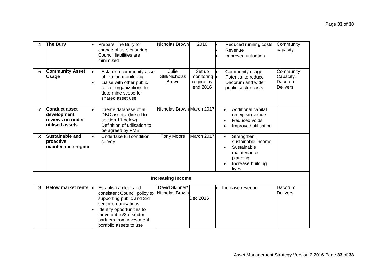| 4              | The Bury                                                                   |           | Prepare The Bury for<br>change of use, ensuring<br>Council liabilities are<br>minimized                                                                                                                                  | Nicholas Brown                          | 2016                                                    | Reduced running costs<br>Revenue<br>Improved utilisation                                                              | Community<br>capacity                                |
|----------------|----------------------------------------------------------------------------|-----------|--------------------------------------------------------------------------------------------------------------------------------------------------------------------------------------------------------------------------|-----------------------------------------|---------------------------------------------------------|-----------------------------------------------------------------------------------------------------------------------|------------------------------------------------------|
| 6              | <b>Community Asset</b><br><b>Usage</b>                                     |           | Establish community asset<br>utilization monitoring<br>Liaise with other public<br>sector organizations to<br>determine scope for<br>shared asset use                                                                    | Julie<br>Still/Nicholas<br><b>Brown</b> | Set up<br>monitoring $\bullet$<br>regime by<br>end 2016 | Community usage<br>Potential to reduce<br>Dacorum and wider<br>public sector costs                                    | Community<br>Capacity,<br>Dacorum<br><b>Delivers</b> |
| $\overline{7}$ | <b>Conduct asset</b><br>development<br>reviews on under<br>utilised assets |           | Create database of all<br>DBC assets. (linked to<br>section 11 below).<br>Definition of utilisation to<br>be agreed by PMB.                                                                                              | Nicholas Brown March 2017               |                                                         | Additional capital<br>$\bullet$<br>receipts/revenue<br>Reduced voids<br>Improved utilisation                          |                                                      |
| 8              | <b>Sustainable and</b><br>proactive<br>maintenance regime                  |           | Undertake full condition<br>survey                                                                                                                                                                                       | <b>Tony Moore</b>                       | March 2017                                              | Strengthen<br>$\bullet$<br>sustainable income<br>Sustainable<br>maintenance<br>planning<br>Increase building<br>lives |                                                      |
|                |                                                                            |           |                                                                                                                                                                                                                          | <b>Increasing Income</b>                |                                                         |                                                                                                                       |                                                      |
| 9              | <b>Below market rents</b>                                                  | <b>le</b> | Establish a clear and<br>consistent Council policy to<br>supporting public and 3rd<br>sector organisations<br>Identify opportunities to<br>move public/3rd sector<br>partners from investment<br>portfolio assets to use | David Skinner/<br>Nicholas Brown        | Dec 2016                                                | Increase revenue                                                                                                      | Dacorum<br><b>Delivers</b>                           |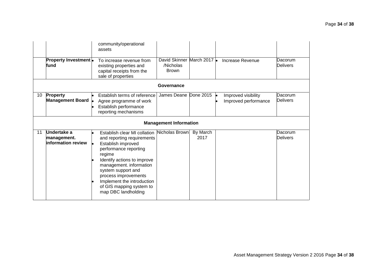|    | <b>Property Investment</b> •<br>fund                   | community/operational<br>assets<br>To increase revenue from<br>existing properties and<br>capital receipts from the<br>sale of properties                                                                                                                                                                    | David Skinner March 2017 .<br>/Nicholas<br><b>Brown</b> |                  | Increase Revenue                            | Dacorum<br><b>Delivers</b> |
|----|--------------------------------------------------------|--------------------------------------------------------------------------------------------------------------------------------------------------------------------------------------------------------------------------------------------------------------------------------------------------------------|---------------------------------------------------------|------------------|---------------------------------------------|----------------------------|
|    |                                                        |                                                                                                                                                                                                                                                                                                              | Governance                                              |                  |                                             |                            |
| 10 | <b>Property</b><br>Management Board                    | Establish terms of reference<br>Agree programme of work<br>Establish performance<br>reporting mechanisms                                                                                                                                                                                                     | James Deane Done 2015                                   |                  | Improved visibility<br>Improved performance | Dacorum<br><b>Delivers</b> |
|    |                                                        |                                                                                                                                                                                                                                                                                                              | <b>Management Information</b>                           |                  |                                             |                            |
| 11 | Undertake a<br>management.<br>information review<br>۱. | Establish clear MI collation<br>and reporting requirements<br>Establish improved<br>performance reporting<br>regime<br>Identify actions to improve<br>management. information<br>system support and<br>process improvements<br>Implement the introduction<br>of GIS mapping system to<br>map DBC landholding | Nicholas Brown                                          | By March<br>2017 |                                             | Dacorum<br><b>Delivers</b> |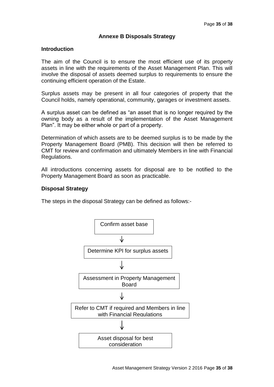# **Annexe B Disposals Strategy**

#### **Introduction**

The aim of the Council is to ensure the most efficient use of its property assets in line with the requirements of the Asset Management Plan. This will involve the disposal of assets deemed surplus to requirements to ensure the continuing efficient operation of the Estate.

Surplus assets may be present in all four categories of property that the Council holds, namely operational, community, garages or investment assets.

A surplus asset can be defined as "an asset that is no longer required by the owning body as a result of the implementation of the Asset Management Plan". It may be either whole or part of a property.

Determination of which assets are to be deemed surplus is to be made by the Property Management Board (PMB). This decision will then be referred to CMT for review and confirmation and ultimately Members in line with Financial Regulations.

All introductions concerning assets for disposal are to be notified to the Property Management Board as soon as practicable.

#### **Disposal Strategy**

The steps in the disposal Strategy can be defined as follows:-

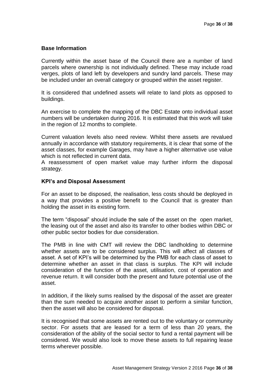# **Base Information**

Currently within the asset base of the Council there are a number of land parcels where ownership is not individually defined. These may include road verges, plots of land left by developers and sundry land parcels. These may be included under an overall category or grouped within the asset register.

It is considered that undefined assets will relate to land plots as opposed to buildings.

An exercise to complete the mapping of the DBC Estate onto individual asset numbers will be undertaken during 2016. It is estimated that this work will take in the region of 12 months to complete.

Current valuation levels also need review. Whilst there assets are revalued annually in accordance with statutory requirements, it is clear that some of the asset classes, for example Garages, may have a higher alternative use value which is not reflected in current data

A reassessment of open market value may further inform the disposal strategy.

#### **KPI's and Disposal Assessment**

For an asset to be disposed, the realisation, less costs should be deployed in a way that provides a positive benefit to the Council that is greater than holding the asset in its existing form.

The term "disposal" should include the sale of the asset on the open market, the leasing out of the asset and also its transfer to other bodies within DBC or other public sector bodies for due consideration.

The PMB in line with CMT will review the DBC landholding to determine whether assets are to be considered surplus. This will affect all classes of asset. A set of KPI's will be determined by the PMB for each class of asset to determine whether an asset in that class is surplus. The KPI will include consideration of the function of the asset, utilisation, cost of operation and revenue return. It will consider both the present and future potential use of the asset.

In addition, if the likely sums realised by the disposal of the asset are greater than the sum needed to acquire another asset to perform a similar function, then the asset will also be considered for disposal.

It is recognised that some assets are rented out to the voluntary or community sector. For assets that are leased for a term of less than 20 years, the consideration of the ability of the social sector to fund a rental payment will be considered. We would also look to move these assets to full repairing lease terms wherever possible.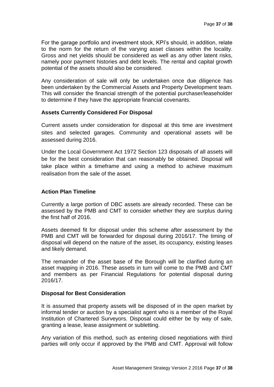For the garage portfolio and investment stock, KPI's should, in addition, relate to the norm for the return of the varying asset classes within the locality. Gross and net yields should be considered as well as any other latent risks, namely poor payment histories and debt levels. The rental and capital growth potential of the assets should also be considered.

Any consideration of sale will only be undertaken once due diligence has been undertaken by the Commercial Assets and Property Development team. This will consider the financial strength of the potential purchaser/leaseholder to determine if they have the appropriate financial covenants.

# **Assets Currently Considered For Disposal**

Current assets under consideration for disposal at this time are investment sites and selected garages. Community and operational assets will be assessed during 2016.

Under the Local Government Act 1972 Section 123 disposals of all assets will be for the best consideration that can reasonably be obtained. Disposal will take place within a timeframe and using a method to achieve maximum realisation from the sale of the asset.

# **Action Plan Timeline**

Currently a large portion of DBC assets are already recorded. These can be assessed by the PMB and CMT to consider whether they are surplus during the first half of 2016.

Assets deemed fit for disposal under this scheme after assessment by the PMB and CMT will be forwarded for disposal during 2016/17. The timing of disposal will depend on the nature of the asset, its occupancy, existing leases and likely demand.

The remainder of the asset base of the Borough will be clarified during an asset mapping in 2016. These assets in turn will come to the PMB and CMT and members as per Financial Regulations for potential disposal during 2016/17.

# **Disposal for Best Consideration**

It is assumed that property assets will be disposed of in the open market by informal tender or auction by a specialist agent who is a member of the Royal Institution of Chartered Surveyors. Disposal could either be by way of sale, granting a lease, lease assignment or subletting.

Any variation of this method, such as entering closed negotiations with third parties will only occur if approved by the PMB and CMT. Approval will follow